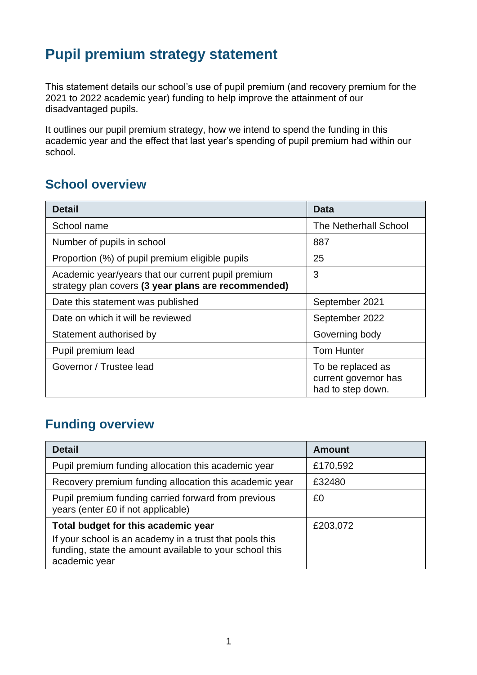# **Pupil premium strategy statement**

This statement details our school's use of pupil premium (and recovery premium for the 2021 to 2022 academic year) funding to help improve the attainment of our disadvantaged pupils.

It outlines our pupil premium strategy, how we intend to spend the funding in this academic year and the effect that last year's spending of pupil premium had within our school.

### **School overview**

| <b>Detail</b>                                                                                             | <b>Data</b>                                                    |
|-----------------------------------------------------------------------------------------------------------|----------------------------------------------------------------|
| School name                                                                                               | <b>The Netherhall School</b>                                   |
| Number of pupils in school                                                                                | 887                                                            |
| Proportion (%) of pupil premium eligible pupils                                                           | 25                                                             |
| Academic year/years that our current pupil premium<br>strategy plan covers (3 year plans are recommended) | 3                                                              |
| Date this statement was published                                                                         | September 2021                                                 |
| Date on which it will be reviewed                                                                         | September 2022                                                 |
| Statement authorised by                                                                                   | Governing body                                                 |
| Pupil premium lead                                                                                        | <b>Tom Hunter</b>                                              |
| Governor / Trustee lead                                                                                   | To be replaced as<br>current governor has<br>had to step down. |

## **Funding overview**

| <b>Detail</b>                                                                                                                       | <b>Amount</b> |
|-------------------------------------------------------------------------------------------------------------------------------------|---------------|
| Pupil premium funding allocation this academic year                                                                                 | £170,592      |
| Recovery premium funding allocation this academic year                                                                              | £32480        |
| Pupil premium funding carried forward from previous<br>years (enter £0 if not applicable)                                           | £0            |
| Total budget for this academic year                                                                                                 | £203,072      |
| If your school is an academy in a trust that pools this<br>funding, state the amount available to your school this<br>academic year |               |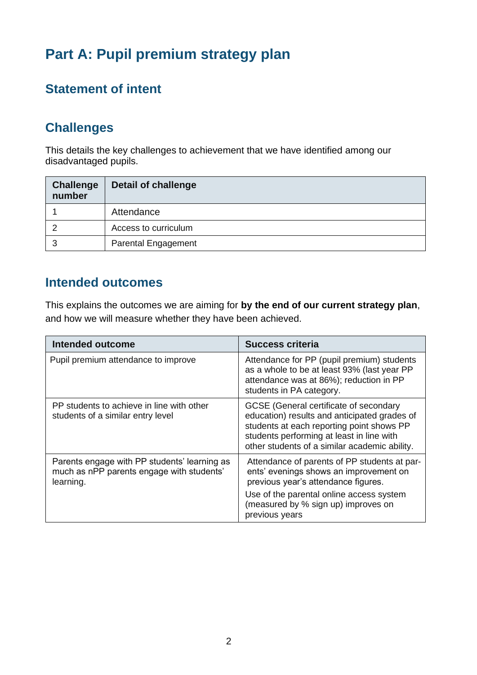# **Part A: Pupil premium strategy plan**

## **Statement of intent**

### **Challenges**

This details the key challenges to achievement that we have identified among our disadvantaged pupils.

| <b>Challenge</b><br>number | <b>Detail of challenge</b> |
|----------------------------|----------------------------|
|                            | Attendance                 |
|                            | Access to curriculum       |
| З                          | <b>Parental Engagement</b> |

#### **Intended outcomes**

This explains the outcomes we are aiming for **by the end of our current strategy plan**, and how we will measure whether they have been achieved.

| Intended outcome                                                                                       | <b>Success criteria</b>                                                                                                                                                                                                           |
|--------------------------------------------------------------------------------------------------------|-----------------------------------------------------------------------------------------------------------------------------------------------------------------------------------------------------------------------------------|
| Pupil premium attendance to improve                                                                    | Attendance for PP (pupil premium) students<br>as a whole to be at least 93% (last year PP<br>attendance was at 86%); reduction in PP<br>students in PA category.                                                                  |
| PP students to achieve in line with other<br>students of a similar entry level                         | GCSE (General certificate of secondary<br>education) results and anticipated grades of<br>students at each reporting point shows PP<br>students performing at least in line with<br>other students of a similar academic ability. |
| Parents engage with PP students' learning as<br>much as nPP parents engage with students'<br>learning. | Attendance of parents of PP students at par-<br>ents' evenings shows an improvement on<br>previous year's attendance figures.                                                                                                     |
|                                                                                                        | Use of the parental online access system<br>(measured by % sign up) improves on<br>previous years                                                                                                                                 |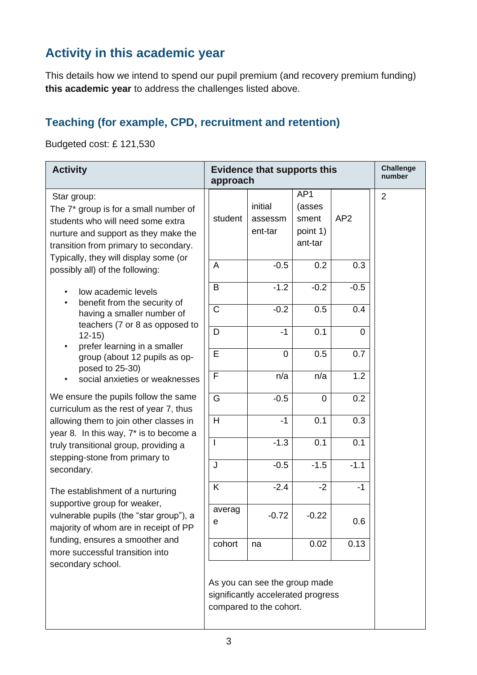## **Activity in this academic year**

This details how we intend to spend our pupil premium (and recovery premium funding) **this academic year** to address the challenges listed above.

### **Teaching (for example, CPD, recruitment and retention)**

Budgeted cost: £ 121,530

| <b>Activity</b>                                                                                                                                                                                                                                        | <b>Evidence that supports this</b><br>approach |                                                                                                |                                                      | <b>Challenge</b><br>number |                |
|--------------------------------------------------------------------------------------------------------------------------------------------------------------------------------------------------------------------------------------------------------|------------------------------------------------|------------------------------------------------------------------------------------------------|------------------------------------------------------|----------------------------|----------------|
| Star group:<br>The 7* group is for a small number of<br>students who will need some extra<br>nurture and support as they make the<br>transition from primary to secondary.<br>Typically, they will display some (or<br>possibly all) of the following: | student<br>A                                   | initial<br>assessm<br>ent-tar<br>$-0.5$                                                        | AP1<br>(asses<br>sment<br>point 1)<br>ant-tar<br>0.2 | AP <sub>2</sub><br>0.3     | $\overline{2}$ |
| low academic levels<br>benefit from the security of                                                                                                                                                                                                    | B                                              | $-1.2$                                                                                         | $-0.2$                                               | $-0.5$                     |                |
| having a smaller number of<br>teachers (7 or 8 as opposed to                                                                                                                                                                                           | $\mathsf C$                                    | $-0.2$                                                                                         | 0.5                                                  | 0.4                        |                |
| $12-15$<br>prefer learning in a smaller                                                                                                                                                                                                                | D                                              | $-1$                                                                                           | 0.1                                                  | 0                          |                |
| group (about 12 pupils as op-<br>posed to 25-30)                                                                                                                                                                                                       | E                                              | 0                                                                                              | 0.5                                                  | 0.7                        |                |
| social anxieties or weaknesses                                                                                                                                                                                                                         | F                                              | n/a                                                                                            | n/a                                                  | 1.2                        |                |
| We ensure the pupils follow the same<br>curriculum as the rest of year 7, thus                                                                                                                                                                         | G                                              | $-0.5$                                                                                         | $\overline{0}$                                       | 0.2                        |                |
| allowing them to join other classes in<br>year 8. In this way, 7* is to become a<br>truly transitional group, providing a<br>stepping-stone from primary to<br>secondary.                                                                              | H                                              | $-1$                                                                                           | 0.1                                                  | 0.3                        |                |
|                                                                                                                                                                                                                                                        | T                                              | $-1.3$                                                                                         | 0.1                                                  | 0.1                        |                |
|                                                                                                                                                                                                                                                        | J                                              | $-0.5$                                                                                         | $-1.5$                                               | $-1.1$                     |                |
| The establishment of a nurturing<br>supportive group for weaker,<br>vulnerable pupils (the "star group"), a<br>majority of whom are in receipt of PP<br>funding, ensures a smoother and<br>more successful transition into<br>secondary school.        | K                                              | $-2.4$                                                                                         | $-2$                                                 | $-1$                       |                |
|                                                                                                                                                                                                                                                        | averag<br>е                                    | $-0.72$                                                                                        | $-0.22$                                              | 0.6                        |                |
|                                                                                                                                                                                                                                                        | cohort                                         | na                                                                                             | 0.02                                                 | 0.13                       |                |
|                                                                                                                                                                                                                                                        |                                                | As you can see the group made<br>significantly accelerated progress<br>compared to the cohort. |                                                      |                            |                |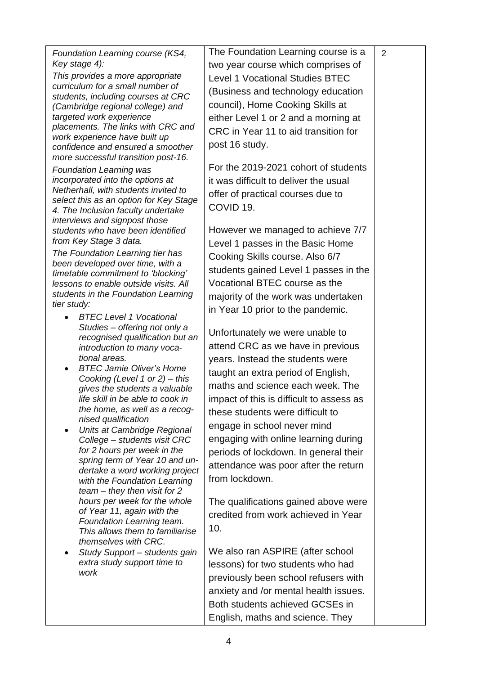| Foundation Learning course (KS4,                                               | The Foundation Learning course is a      | 2 |
|--------------------------------------------------------------------------------|------------------------------------------|---|
| Key stage 4):                                                                  | two year course which comprises of       |   |
| This provides a more appropriate                                               | <b>Level 1 Vocational Studies BTEC</b>   |   |
| curriculum for a small number of<br>students, including courses at CRC         | (Business and technology education       |   |
| (Cambridge regional college) and                                               | council), Home Cooking Skills at         |   |
| targeted work experience                                                       | either Level 1 or 2 and a morning at     |   |
| placements. The links with CRC and                                             | CRC in Year 11 to aid transition for     |   |
| work experience have built up<br>confidence and ensured a smoother             | post 16 study.                           |   |
| more successful transition post-16.                                            |                                          |   |
| <b>Foundation Learning was</b>                                                 | For the 2019-2021 cohort of students     |   |
| incorporated into the options at                                               | it was difficult to deliver the usual    |   |
| Netherhall, with students invited to<br>select this as an option for Key Stage | offer of practical courses due to        |   |
| 4. The Inclusion faculty undertake                                             | COVID <sub>19</sub> .                    |   |
| interviews and signpost those                                                  |                                          |   |
| students who have been identified                                              | However we managed to achieve 7/7        |   |
| from Key Stage 3 data.                                                         | Level 1 passes in the Basic Home         |   |
| The Foundation Learning tier has<br>been developed over time, with a           | Cooking Skills course. Also 6/7          |   |
| timetable commitment to 'blocking'                                             | students gained Level 1 passes in the    |   |
| lessons to enable outside visits. All                                          | Vocational BTEC course as the            |   |
| students in the Foundation Learning<br>tier study:                             | majority of the work was undertaken      |   |
| <b>BTEC Level 1 Vocational</b>                                                 | in Year 10 prior to the pandemic.        |   |
| Studies - offering not only a                                                  |                                          |   |
| recognised qualification but an                                                | Unfortunately we were unable to          |   |
| introduction to many voca-                                                     | attend CRC as we have in previous        |   |
| tional areas.<br><b>BTEC Jamie Oliver's Home</b>                               | years. Instead the students were         |   |
| Cooking (Level 1 or 2) - this                                                  | taught an extra period of English,       |   |
| gives the students a valuable                                                  | maths and science each week. The         |   |
| life skill in be able to cook in                                               | impact of this is difficult to assess as |   |
| the home, as well as a recog-<br>nised qualification                           | these students were difficult to         |   |
| Units at Cambridge Regional<br>$\bullet$                                       | engage in school never mind              |   |
| College - students visit CRC                                                   | engaging with online learning during     |   |
| for 2 hours per week in the                                                    | periods of lockdown. In general their    |   |
| spring term of Year 10 and un-<br>dertake a word working project               | attendance was poor after the return     |   |
| with the Foundation Learning                                                   | from lockdown.                           |   |
| $team - they$ then visit for 2                                                 |                                          |   |
| hours per week for the whole<br>of Year 11, again with the                     | The qualifications gained above were     |   |
| Foundation Learning team.                                                      | credited from work achieved in Year      |   |
| This allows them to familiarise                                                | 10.                                      |   |
| themselves with CRC.                                                           |                                          |   |
| Study Support - students gain<br>extra study support time to                   | We also ran ASPIRE (after school         |   |
| work                                                                           | lessons) for two students who had        |   |
|                                                                                | previously been school refusers with     |   |
|                                                                                | anxiety and /or mental health issues.    |   |
|                                                                                | Both students achieved GCSEs in          |   |
|                                                                                | English, maths and science. They         |   |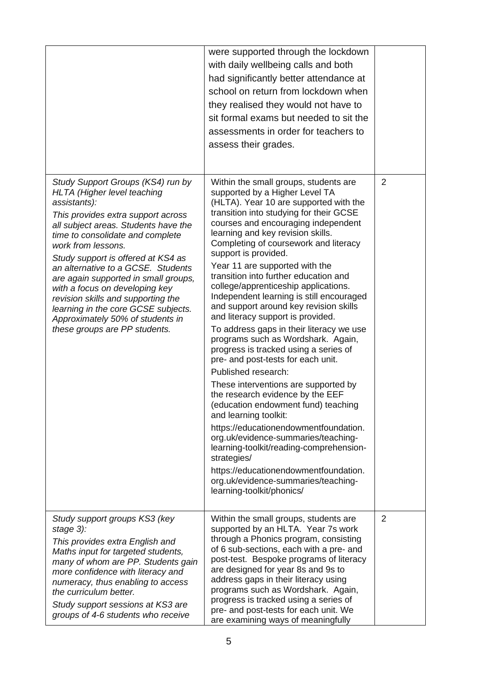|                                                                                                                                                                                                                                                                                                                                                                                                                                                                                                                                         | were supported through the lockdown<br>with daily wellbeing calls and both<br>had significantly better attendance at<br>school on return from lockdown when<br>they realised they would not have to<br>sit formal exams but needed to sit the<br>assessments in order for teachers to                                                                                                                                                                                                                                                                                                                                                                                                                                                                                                                                                                                                                                                                                                                                                                                                                                                              |                |
|-----------------------------------------------------------------------------------------------------------------------------------------------------------------------------------------------------------------------------------------------------------------------------------------------------------------------------------------------------------------------------------------------------------------------------------------------------------------------------------------------------------------------------------------|----------------------------------------------------------------------------------------------------------------------------------------------------------------------------------------------------------------------------------------------------------------------------------------------------------------------------------------------------------------------------------------------------------------------------------------------------------------------------------------------------------------------------------------------------------------------------------------------------------------------------------------------------------------------------------------------------------------------------------------------------------------------------------------------------------------------------------------------------------------------------------------------------------------------------------------------------------------------------------------------------------------------------------------------------------------------------------------------------------------------------------------------------|----------------|
|                                                                                                                                                                                                                                                                                                                                                                                                                                                                                                                                         | assess their grades.                                                                                                                                                                                                                                                                                                                                                                                                                                                                                                                                                                                                                                                                                                                                                                                                                                                                                                                                                                                                                                                                                                                               |                |
| Study Support Groups (KS4) run by<br><b>HLTA</b> (Higher level teaching<br>assistants):<br>This provides extra support across<br>all subject areas. Students have the<br>time to consolidate and complete<br>work from lessons.<br>Study support is offered at KS4 as<br>an alternative to a GCSE. Students<br>are again supported in small groups,<br>with a focus on developing key<br>revision skills and supporting the<br>learning in the core GCSE subjects.<br>Approximately 50% of students in<br>these groups are PP students. | Within the small groups, students are<br>supported by a Higher Level TA<br>(HLTA). Year 10 are supported with the<br>transition into studying for their GCSE<br>courses and encouraging independent<br>learning and key revision skills.<br>Completing of coursework and literacy<br>support is provided.<br>Year 11 are supported with the<br>transition into further education and<br>college/apprenticeship applications.<br>Independent learning is still encouraged<br>and support around key revision skills<br>and literacy support is provided.<br>To address gaps in their literacy we use<br>programs such as Wordshark. Again,<br>progress is tracked using a series of<br>pre- and post-tests for each unit.<br>Published research:<br>These interventions are supported by<br>the research evidence by the EEF<br>(education endowment fund) teaching<br>and learning toolkit:<br>https://educationendowmentfoundation.<br>org.uk/evidence-summaries/teaching-<br>learning-toolkit/reading-comprehension-<br>strategies/<br>https://educationendowmentfoundation.<br>org.uk/evidence-summaries/teaching-<br>learning-toolkit/phonics/ | $\overline{2}$ |
| Study support groups KS3 (key<br>stage 3):<br>This provides extra English and<br>Maths input for targeted students,<br>many of whom are PP. Students gain<br>more confidence with literacy and<br>numeracy, thus enabling to access<br>the curriculum better.<br>Study support sessions at KS3 are<br>groups of 4-6 students who receive                                                                                                                                                                                                | Within the small groups, students are<br>supported by an HLTA. Year 7s work<br>through a Phonics program, consisting<br>of 6 sub-sections, each with a pre- and<br>post-test. Bespoke programs of literacy<br>are designed for year 8s and 9s to<br>address gaps in their literacy using<br>programs such as Wordshark. Again,<br>progress is tracked using a series of<br>pre- and post-tests for each unit. We<br>are examining ways of meaningfully                                                                                                                                                                                                                                                                                                                                                                                                                                                                                                                                                                                                                                                                                             | $\overline{2}$ |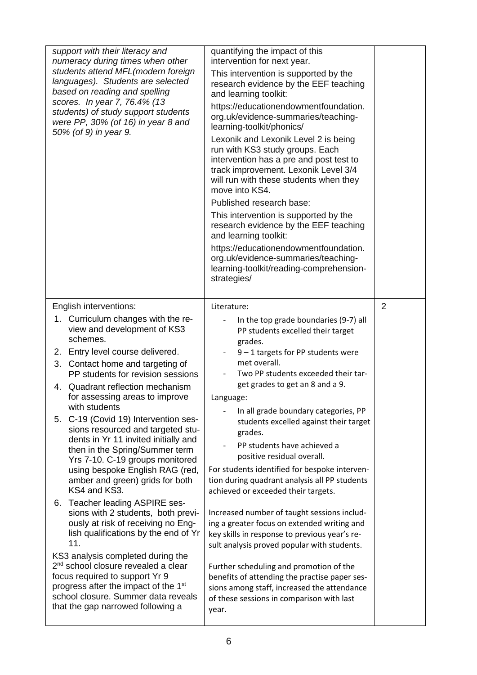| support with their literacy and<br>numeracy during times when other<br>students attend MFL(modern foreign<br>languages). Students are selected<br>based on reading and spelling<br>scores. In year 7, 76.4% (13<br>students) of study support students<br>were PP, 30% (of 16) in year 8 and<br>50% (of 9) in year 9. | quantifying the impact of this<br>intervention for next year.<br>This intervention is supported by the<br>research evidence by the EEF teaching<br>and learning toolkit:<br>https://educationendowmentfoundation.<br>org.uk/evidence-summaries/teaching-<br>learning-toolkit/phonics/<br>Lexonik and Lexonik Level 2 is being<br>run with KS3 study groups. Each<br>intervention has a pre and post test to<br>track improvement. Lexonik Level 3/4<br>will run with these students when they<br>move into KS4.<br>Published research base:<br>This intervention is supported by the<br>research evidence by the EEF teaching<br>and learning toolkit:<br>https://educationendowmentfoundation.<br>org.uk/evidence-summaries/teaching-<br>learning-toolkit/reading-comprehension-<br>strategies/ |                |
|-----------------------------------------------------------------------------------------------------------------------------------------------------------------------------------------------------------------------------------------------------------------------------------------------------------------------|--------------------------------------------------------------------------------------------------------------------------------------------------------------------------------------------------------------------------------------------------------------------------------------------------------------------------------------------------------------------------------------------------------------------------------------------------------------------------------------------------------------------------------------------------------------------------------------------------------------------------------------------------------------------------------------------------------------------------------------------------------------------------------------------------|----------------|
| English interventions:                                                                                                                                                                                                                                                                                                | Literature:                                                                                                                                                                                                                                                                                                                                                                                                                                                                                                                                                                                                                                                                                                                                                                                      | $\overline{2}$ |
| 1. Curriculum changes with the re-<br>view and development of KS3<br>schemes.                                                                                                                                                                                                                                         | In the top grade boundaries (9-7) all<br>PP students excelled their target<br>grades.                                                                                                                                                                                                                                                                                                                                                                                                                                                                                                                                                                                                                                                                                                            |                |
| Entry level course delivered.<br>2.                                                                                                                                                                                                                                                                                   | $9 - 1$ targets for PP students were<br>$\overline{\phantom{0}}$                                                                                                                                                                                                                                                                                                                                                                                                                                                                                                                                                                                                                                                                                                                                 |                |
| Contact home and targeting of<br>3.<br>PP students for revision sessions                                                                                                                                                                                                                                              | met overall.<br>Two PP students exceeded their tar-                                                                                                                                                                                                                                                                                                                                                                                                                                                                                                                                                                                                                                                                                                                                              |                |
| Quadrant reflection mechanism<br>4.<br>for assessing areas to improve                                                                                                                                                                                                                                                 | get grades to get an 8 and a 9.<br>Language:                                                                                                                                                                                                                                                                                                                                                                                                                                                                                                                                                                                                                                                                                                                                                     |                |
| with students<br>5. C-19 (Covid 19) Intervention ses-                                                                                                                                                                                                                                                                 | In all grade boundary categories, PP<br>students excelled against their target                                                                                                                                                                                                                                                                                                                                                                                                                                                                                                                                                                                                                                                                                                                   |                |
| sions resourced and targeted stu-<br>dents in Yr 11 invited initially and                                                                                                                                                                                                                                             | grades.                                                                                                                                                                                                                                                                                                                                                                                                                                                                                                                                                                                                                                                                                                                                                                                          |                |
| then in the Spring/Summer term<br>Yrs 7-10. C-19 groups monitored                                                                                                                                                                                                                                                     | PP students have achieved a<br>positive residual overall.                                                                                                                                                                                                                                                                                                                                                                                                                                                                                                                                                                                                                                                                                                                                        |                |
| using bespoke English RAG (red,<br>amber and green) grids for both<br>KS4 and KS3.                                                                                                                                                                                                                                    | For students identified for bespoke interven-<br>tion during quadrant analysis all PP students<br>achieved or exceeded their targets.                                                                                                                                                                                                                                                                                                                                                                                                                                                                                                                                                                                                                                                            |                |
| Teacher leading ASPIRE ses-<br>6.<br>sions with 2 students, both previ-                                                                                                                                                                                                                                               | Increased number of taught sessions includ-                                                                                                                                                                                                                                                                                                                                                                                                                                                                                                                                                                                                                                                                                                                                                      |                |
| ously at risk of receiving no Eng-                                                                                                                                                                                                                                                                                    | ing a greater focus on extended writing and                                                                                                                                                                                                                                                                                                                                                                                                                                                                                                                                                                                                                                                                                                                                                      |                |
| lish qualifications by the end of Yr<br>11.                                                                                                                                                                                                                                                                           | key skills in response to previous year's re-<br>sult analysis proved popular with students.                                                                                                                                                                                                                                                                                                                                                                                                                                                                                                                                                                                                                                                                                                     |                |
| KS3 analysis completed during the<br>2 <sup>nd</sup> school closure revealed a clear                                                                                                                                                                                                                                  | Further scheduling and promotion of the                                                                                                                                                                                                                                                                                                                                                                                                                                                                                                                                                                                                                                                                                                                                                          |                |
| focus required to support Yr 9                                                                                                                                                                                                                                                                                        | benefits of attending the practise paper ses-                                                                                                                                                                                                                                                                                                                                                                                                                                                                                                                                                                                                                                                                                                                                                    |                |
| progress after the impact of the 1 <sup>st</sup><br>school closure. Summer data reveals                                                                                                                                                                                                                               | sions among staff, increased the attendance<br>of these sessions in comparison with last                                                                                                                                                                                                                                                                                                                                                                                                                                                                                                                                                                                                                                                                                                         |                |
| that the gap narrowed following a                                                                                                                                                                                                                                                                                     | year.                                                                                                                                                                                                                                                                                                                                                                                                                                                                                                                                                                                                                                                                                                                                                                                            |                |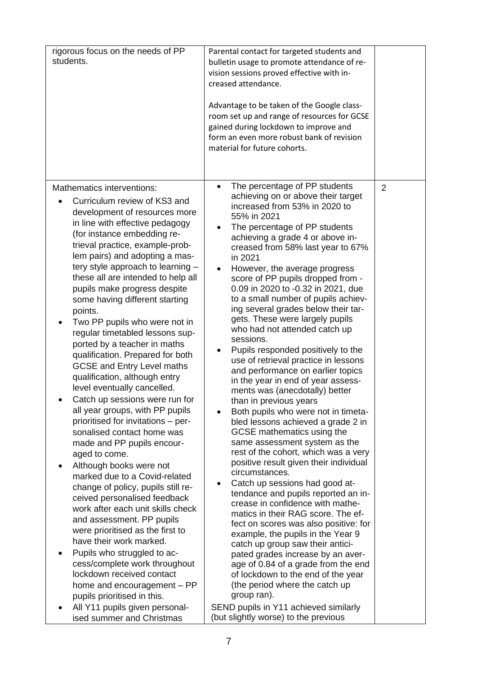| rigorous focus on the needs of PP<br>students.                                                                                                                                                                                                                                                                                                                                                                                                                                                                                                                                                                                                                                                                                                                                                                                                                                                                                                                                                                                                                                                                                                                                                                                                                                                                                            | Parental contact for targeted students and<br>bulletin usage to promote attendance of re-<br>vision sessions proved effective with in-<br>creased attendance.<br>Advantage to be taken of the Google class-<br>room set up and range of resources for GCSE<br>gained during lockdown to improve and<br>form an even more robust bank of revision<br>material for future cohorts.                                                                                                                                                                                                                                                                                                                                                                                                                                                                                                                                                                                                                                                                                                                                                                                                                                                                                                                                                                                                                                                                                                                                  |                |
|-------------------------------------------------------------------------------------------------------------------------------------------------------------------------------------------------------------------------------------------------------------------------------------------------------------------------------------------------------------------------------------------------------------------------------------------------------------------------------------------------------------------------------------------------------------------------------------------------------------------------------------------------------------------------------------------------------------------------------------------------------------------------------------------------------------------------------------------------------------------------------------------------------------------------------------------------------------------------------------------------------------------------------------------------------------------------------------------------------------------------------------------------------------------------------------------------------------------------------------------------------------------------------------------------------------------------------------------|-------------------------------------------------------------------------------------------------------------------------------------------------------------------------------------------------------------------------------------------------------------------------------------------------------------------------------------------------------------------------------------------------------------------------------------------------------------------------------------------------------------------------------------------------------------------------------------------------------------------------------------------------------------------------------------------------------------------------------------------------------------------------------------------------------------------------------------------------------------------------------------------------------------------------------------------------------------------------------------------------------------------------------------------------------------------------------------------------------------------------------------------------------------------------------------------------------------------------------------------------------------------------------------------------------------------------------------------------------------------------------------------------------------------------------------------------------------------------------------------------------------------|----------------|
| Mathematics interventions:<br>Curriculum review of KS3 and<br>development of resources more<br>in line with effective pedagogy<br>(for instance embedding re-<br>trieval practice, example-prob-<br>lem pairs) and adopting a mas-<br>tery style approach to learning -<br>these all are intended to help all<br>pupils make progress despite<br>some having different starting<br>points.<br>Two PP pupils who were not in<br>regular timetabled lessons sup-<br>ported by a teacher in maths<br>qualification. Prepared for both<br><b>GCSE and Entry Level maths</b><br>qualification, although entry<br>level eventually cancelled.<br>Catch up sessions were run for<br>all year groups, with PP pupils<br>prioritised for invitations - per-<br>sonalised contact home was<br>made and PP pupils encour-<br>aged to come.<br>Although books were not<br>$\bullet$<br>marked due to a Covid-related<br>change of policy, pupils still re-<br>ceived personalised feedback<br>work after each unit skills check<br>and assessment. PP pupils<br>were prioritised as the first to<br>have their work marked.<br>Pupils who struggled to ac-<br>cess/complete work throughout<br>lockdown received contact<br>home and encouragement - PP<br>pupils prioritised in this.<br>All Y11 pupils given personal-<br>ised summer and Christmas | The percentage of PP students<br>achieving on or above their target<br>increased from 53% in 2020 to<br>55% in 2021<br>The percentage of PP students<br>achieving a grade 4 or above in-<br>creased from 58% last year to 67%<br>in 2021<br>However, the average progress<br>score of PP pupils dropped from -<br>0.09 in 2020 to -0.32 in 2021, due<br>to a small number of pupils achiev-<br>ing several grades below their tar-<br>gets. These were largely pupils<br>who had not attended catch up<br>sessions.<br>Pupils responded positively to the<br>use of retrieval practice in lessons<br>and performance on earlier topics<br>in the year in end of year assess-<br>ments was (anecdotally) better<br>than in previous years<br>Both pupils who were not in timeta-<br>bled lessons achieved a grade 2 in<br>GCSE mathematics using the<br>same assessment system as the<br>rest of the cohort, which was a very<br>positive result given their individual<br>circumstances.<br>Catch up sessions had good at-<br>tendance and pupils reported an in-<br>crease in confidence with mathe-<br>matics in their RAG score. The ef-<br>fect on scores was also positive: for<br>example, the pupils in the Year 9<br>catch up group saw their antici-<br>pated grades increase by an aver-<br>age of 0.84 of a grade from the end<br>of lockdown to the end of the year<br>(the period where the catch up<br>group ran).<br>SEND pupils in Y11 achieved similarly<br>(but slightly worse) to the previous | $\overline{2}$ |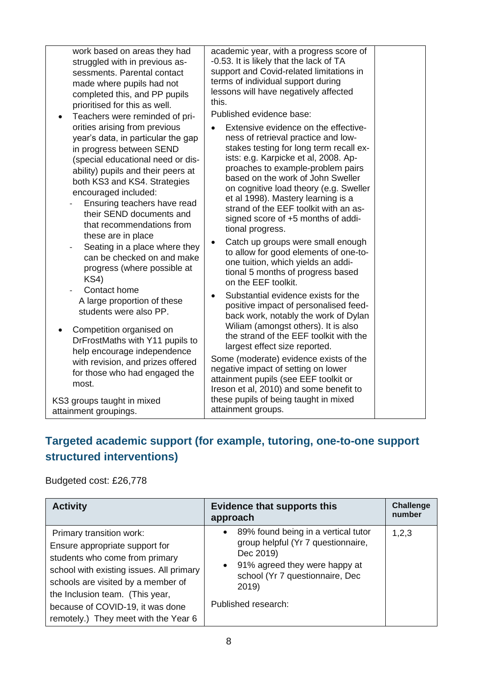| work based on areas they had                                                                                                                                                                                                                                                                                                                                                                                                                                                                                                                                                                                                                                                                                                                                | academic year, with a progress score of                                                                                                                                                                                                                                                                                                                                                                                                                                                                                                                                                                                                                                                                                                                                                                                                                                                                                                                                                                                                                                          |
|-------------------------------------------------------------------------------------------------------------------------------------------------------------------------------------------------------------------------------------------------------------------------------------------------------------------------------------------------------------------------------------------------------------------------------------------------------------------------------------------------------------------------------------------------------------------------------------------------------------------------------------------------------------------------------------------------------------------------------------------------------------|----------------------------------------------------------------------------------------------------------------------------------------------------------------------------------------------------------------------------------------------------------------------------------------------------------------------------------------------------------------------------------------------------------------------------------------------------------------------------------------------------------------------------------------------------------------------------------------------------------------------------------------------------------------------------------------------------------------------------------------------------------------------------------------------------------------------------------------------------------------------------------------------------------------------------------------------------------------------------------------------------------------------------------------------------------------------------------|
| struggled with in previous as-                                                                                                                                                                                                                                                                                                                                                                                                                                                                                                                                                                                                                                                                                                                              | -0.53. It is likely that the lack of TA                                                                                                                                                                                                                                                                                                                                                                                                                                                                                                                                                                                                                                                                                                                                                                                                                                                                                                                                                                                                                                          |
| sessments. Parental contact                                                                                                                                                                                                                                                                                                                                                                                                                                                                                                                                                                                                                                                                                                                                 | support and Covid-related limitations in                                                                                                                                                                                                                                                                                                                                                                                                                                                                                                                                                                                                                                                                                                                                                                                                                                                                                                                                                                                                                                         |
| made where pupils had not                                                                                                                                                                                                                                                                                                                                                                                                                                                                                                                                                                                                                                                                                                                                   | terms of individual support during                                                                                                                                                                                                                                                                                                                                                                                                                                                                                                                                                                                                                                                                                                                                                                                                                                                                                                                                                                                                                                               |
| completed this, and PP pupils                                                                                                                                                                                                                                                                                                                                                                                                                                                                                                                                                                                                                                                                                                                               | lessons will have negatively affected                                                                                                                                                                                                                                                                                                                                                                                                                                                                                                                                                                                                                                                                                                                                                                                                                                                                                                                                                                                                                                            |
| prioritised for this as well.                                                                                                                                                                                                                                                                                                                                                                                                                                                                                                                                                                                                                                                                                                                               | this.                                                                                                                                                                                                                                                                                                                                                                                                                                                                                                                                                                                                                                                                                                                                                                                                                                                                                                                                                                                                                                                                            |
| Teachers were reminded of pri-<br>$\bullet$<br>orities arising from previous<br>year's data, in particular the gap<br>in progress between SEND<br>(special educational need or dis-<br>ability) pupils and their peers at<br>both KS3 and KS4. Strategies<br>encouraged included:<br>Ensuring teachers have read<br>their SEND documents and<br>that recommendations from<br>these are in place<br>Seating in a place where they<br>can be checked on and make<br>progress (where possible at<br>KS4)<br>Contact home<br>A large proportion of these<br>students were also PP.<br>Competition organised on<br>DrFrostMaths with Y11 pupils to<br>help encourage independence<br>with revision, and prizes offered<br>for those who had engaged the<br>most. | Published evidence base:<br>Extensive evidence on the effective-<br>ness of retrieval practice and low-<br>stakes testing for long term recall ex-<br>ists: e.g. Karpicke et al, 2008. Ap-<br>proaches to example-problem pairs<br>based on the work of John Sweller<br>on cognitive load theory (e.g. Sweller<br>et al 1998). Mastery learning is a<br>strand of the EEF toolkit with an as-<br>signed score of +5 months of addi-<br>tional progress.<br>Catch up groups were small enough<br>$\bullet$<br>to allow for good elements of one-to-<br>one tuition, which yields an addi-<br>tional 5 months of progress based<br>on the EEF toolkit.<br>Substantial evidence exists for the<br>$\bullet$<br>positive impact of personalised feed-<br>back work, notably the work of Dylan<br>Wiliam (amongst others). It is also<br>the strand of the EEF toolkit with the<br>largest effect size reported.<br>Some (moderate) evidence exists of the<br>negative impact of setting on lower<br>attainment pupils (see EEF toolkit or<br>Ireson et al, 2010) and some benefit to |
| KS3 groups taught in mixed                                                                                                                                                                                                                                                                                                                                                                                                                                                                                                                                                                                                                                                                                                                                  | these pupils of being taught in mixed                                                                                                                                                                                                                                                                                                                                                                                                                                                                                                                                                                                                                                                                                                                                                                                                                                                                                                                                                                                                                                            |
| attainment groupings.                                                                                                                                                                                                                                                                                                                                                                                                                                                                                                                                                                                                                                                                                                                                       | attainment groups.                                                                                                                                                                                                                                                                                                                                                                                                                                                                                                                                                                                                                                                                                                                                                                                                                                                                                                                                                                                                                                                               |

## **Targeted academic support (for example, tutoring, one-to-one support structured interventions)**

Budgeted cost: £26,778

| <b>Activity</b>                                                                                                                                                                                                                                                                               | <b>Evidence that supports this</b><br>approach                                                                                                                                                                       | <b>Challenge</b><br>number |
|-----------------------------------------------------------------------------------------------------------------------------------------------------------------------------------------------------------------------------------------------------------------------------------------------|----------------------------------------------------------------------------------------------------------------------------------------------------------------------------------------------------------------------|----------------------------|
| Primary transition work:<br>Ensure appropriate support for<br>students who come from primary<br>school with existing issues. All primary<br>schools are visited by a member of<br>the Inclusion team. (This year,<br>because of COVID-19, it was done<br>remotely.) They meet with the Year 6 | 89% found being in a vertical tutor<br>$\bullet$<br>group helpful (Yr 7 questionnaire,<br>Dec 2019)<br>91% agreed they were happy at<br>$\bullet$<br>school (Yr 7 questionnaire, Dec<br>2019)<br>Published research: | 1,2,3                      |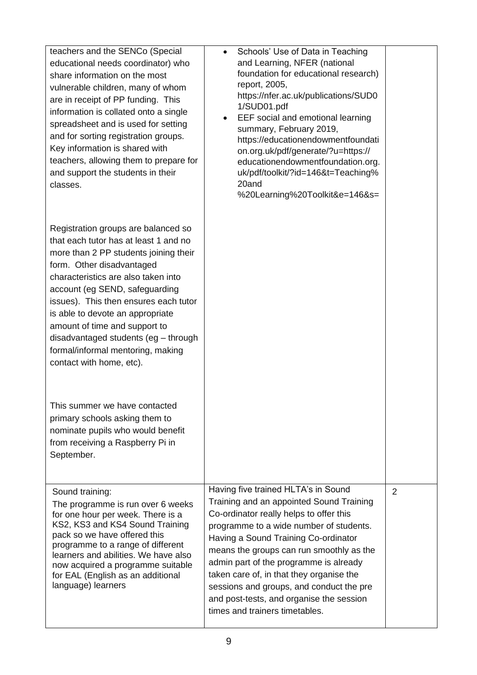| teachers and the SENCo (Special<br>educational needs coordinator) who<br>share information on the most<br>vulnerable children, many of whom<br>are in receipt of PP funding. This<br>information is collated onto a single<br>spreadsheet and is used for setting<br>and for sorting registration groups.<br>Key information is shared with<br>teachers, allowing them to prepare for<br>and support the students in their<br>classes.             | Schools' Use of Data in Teaching<br>$\bullet$<br>and Learning, NFER (national<br>foundation for educational research)<br>report, 2005,<br>https://nfer.ac.uk/publications/SUD0<br>1/SUD01.pdf<br>EEF social and emotional learning<br>$\bullet$<br>summary, February 2019,<br>https://educationendowmentfoundati<br>on.org.uk/pdf/generate/?u=https://<br>educationendowmentfoundation.org.<br>uk/pdf/toolkit/?id=146&t=Teaching%<br>20and<br>%20Learning%20Toolkit&e=146&s= |                |
|----------------------------------------------------------------------------------------------------------------------------------------------------------------------------------------------------------------------------------------------------------------------------------------------------------------------------------------------------------------------------------------------------------------------------------------------------|------------------------------------------------------------------------------------------------------------------------------------------------------------------------------------------------------------------------------------------------------------------------------------------------------------------------------------------------------------------------------------------------------------------------------------------------------------------------------|----------------|
| Registration groups are balanced so<br>that each tutor has at least 1 and no<br>more than 2 PP students joining their<br>form. Other disadvantaged<br>characteristics are also taken into<br>account (eg SEND, safeguarding<br>issues). This then ensures each tutor<br>is able to devote an appropriate<br>amount of time and support to<br>disadvantaged students (eg - through<br>formal/informal mentoring, making<br>contact with home, etc). |                                                                                                                                                                                                                                                                                                                                                                                                                                                                              |                |
| This summer we have contacted<br>primary schools asking them to<br>nominate pupils who would benefit<br>from receiving a Raspberry Pi in<br>September.                                                                                                                                                                                                                                                                                             |                                                                                                                                                                                                                                                                                                                                                                                                                                                                              |                |
| Sound training:<br>The programme is run over 6 weeks<br>for one hour per week. There is a<br>KS2, KS3 and KS4 Sound Training<br>pack so we have offered this<br>programme to a range of different<br>learners and abilities. We have also<br>now acquired a programme suitable<br>for EAL (English as an additional<br>language) learners                                                                                                          | Having five trained HLTA's in Sound<br>Training and an appointed Sound Training<br>Co-ordinator really helps to offer this<br>programme to a wide number of students.<br>Having a Sound Training Co-ordinator<br>means the groups can run smoothly as the<br>admin part of the programme is already<br>taken care of, in that they organise the<br>sessions and groups, and conduct the pre<br>and post-tests, and organise the session<br>times and trainers timetables.    | $\overline{2}$ |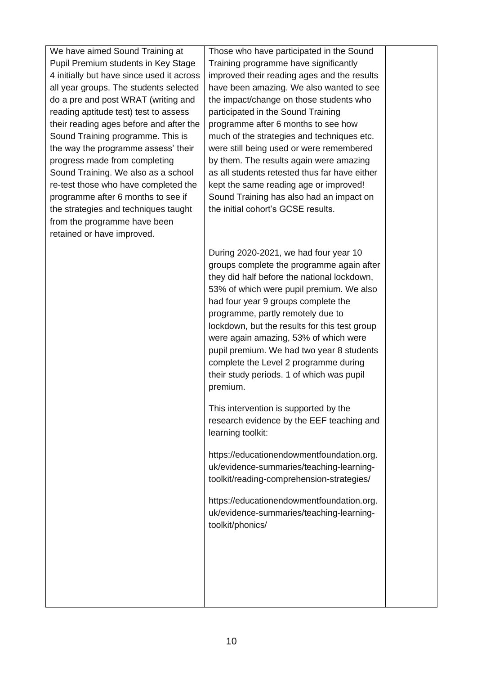We have aimed Sound Training at Pupil Premium students in Key Stage 4 initially but have since used it across all year groups. The students selected do a pre and post WRAT (writing and reading aptitude test) test to assess their reading ages before and after the Sound Training programme. This is the way the programme assess' their progress made from completing Sound Training. We also as a school re-test those who have completed the programme after 6 months to see if the strategies and techniques taught from the programme have been retained or have improved.

Those who have participated in the Sound Training programme have significantly improved their reading ages and the results have been amazing. We also wanted to see the impact/change on those students who participated in the Sound Training programme after 6 months to see how much of the strategies and techniques etc. were still being used or were remembered by them. The results again were amazing as all students retested thus far have either kept the same reading age or improved! Sound Training has also had an impact on the initial cohort's GCSE results.

During 2020-2021, we had four year 10 groups complete the programme again after they did half before the national lockdown, 53% of which were pupil premium. We also had four year 9 groups complete the programme, partly remotely due to lockdown, but the results for this test group were again amazing, 53% of which were pupil premium. We had two year 8 students complete the Level 2 programme during their study periods. 1 of which was pupil premium.

This intervention is supported by the research evidence by the EEF teaching and learning toolkit:

https://educationendowmentfoundation.org. uk/evidence-summaries/teaching-learningtoolkit/reading-comprehension-strategies/

https://educationendowmentfoundation.org. uk/evidence-summaries/teaching-learningtoolkit/phonics/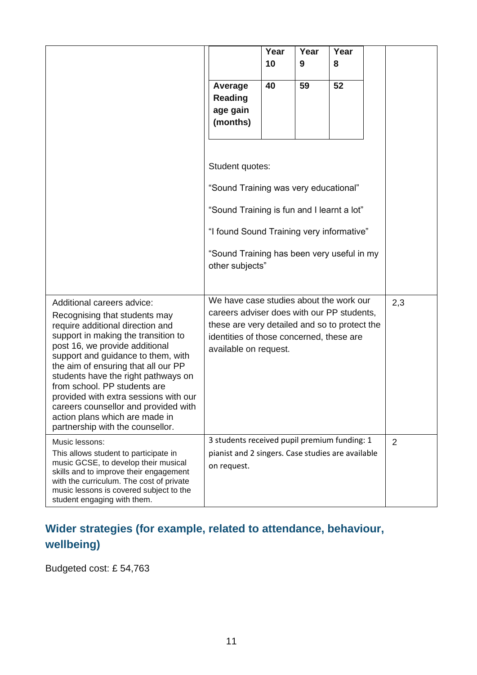|                                                                                                                                                                                                                                                                                                                                                                                                                                                                                     |                                                                                                                                                                                                             | Year | Year | Year |     |
|-------------------------------------------------------------------------------------------------------------------------------------------------------------------------------------------------------------------------------------------------------------------------------------------------------------------------------------------------------------------------------------------------------------------------------------------------------------------------------------|-------------------------------------------------------------------------------------------------------------------------------------------------------------------------------------------------------------|------|------|------|-----|
|                                                                                                                                                                                                                                                                                                                                                                                                                                                                                     |                                                                                                                                                                                                             | 10   | 9    | 8    |     |
|                                                                                                                                                                                                                                                                                                                                                                                                                                                                                     | Average<br>Reading<br>age gain<br>(months)                                                                                                                                                                  | 40   | 59   | 52   |     |
|                                                                                                                                                                                                                                                                                                                                                                                                                                                                                     | Student quotes:<br>"Sound Training was very educational"                                                                                                                                                    |      |      |      |     |
|                                                                                                                                                                                                                                                                                                                                                                                                                                                                                     | "Sound Training is fun and I learnt a lot"                                                                                                                                                                  |      |      |      |     |
|                                                                                                                                                                                                                                                                                                                                                                                                                                                                                     | "I found Sound Training very informative"                                                                                                                                                                   |      |      |      |     |
|                                                                                                                                                                                                                                                                                                                                                                                                                                                                                     | "Sound Training has been very useful in my<br>other subjects"                                                                                                                                               |      |      |      |     |
| Additional careers advice:<br>Recognising that students may<br>require additional direction and<br>support in making the transition to<br>post 16, we provide additional<br>support and guidance to them, with<br>the aim of ensuring that all our PP<br>students have the right pathways on<br>from school. PP students are<br>provided with extra sessions with our<br>careers counsellor and provided with<br>action plans which are made in<br>partnership with the counsellor. | We have case studies about the work our<br>careers adviser does with our PP students,<br>these are very detailed and so to protect the<br>identities of those concerned, these are<br>available on request. |      |      |      | 2,3 |
| Music lessons:<br>This allows student to participate in<br>music GCSE, to develop their musical<br>skills and to improve their engagement<br>with the curriculum. The cost of private<br>music lessons is covered subject to the<br>student engaging with them.                                                                                                                                                                                                                     | 3 students received pupil premium funding: 1<br>pianist and 2 singers. Case studies are available<br>on request.                                                                                            |      |      |      | 2   |

## **Wider strategies (for example, related to attendance, behaviour, wellbeing)**

Budgeted cost: £ 54,763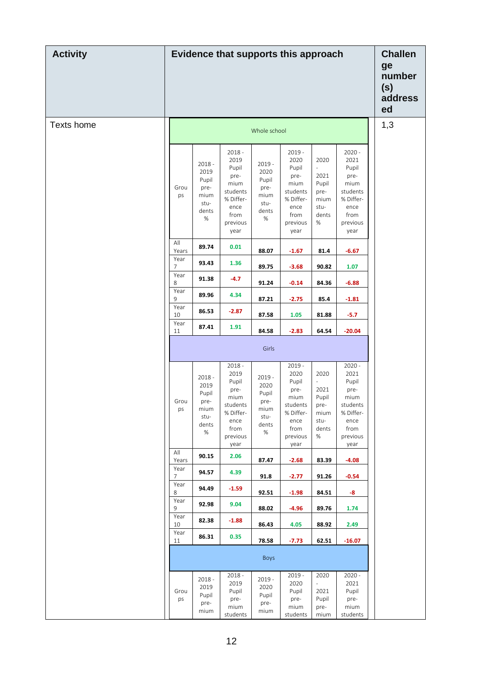| <b>Activity</b> | Evidence that supports this approach | <b>Challen</b><br>ge<br>number<br>(s)<br>address<br>ed             |                                                                                                        |                                                                    |                                                                                                        |                                                                      |                                                                                                        |  |
|-----------------|--------------------------------------|--------------------------------------------------------------------|--------------------------------------------------------------------------------------------------------|--------------------------------------------------------------------|--------------------------------------------------------------------------------------------------------|----------------------------------------------------------------------|--------------------------------------------------------------------------------------------------------|--|
| Texts home      |                                      | 1,3                                                                |                                                                                                        |                                                                    |                                                                                                        |                                                                      |                                                                                                        |  |
|                 | Grou<br>ps                           | $2018 -$<br>2019<br>Pupil<br>pre-<br>mium<br>stu-<br>dents<br>$\%$ | $2018 -$<br>2019<br>Pupil<br>pre-<br>mium<br>students<br>% Differ-<br>ence<br>from<br>previous<br>year | $2019 -$<br>2020<br>Pupil<br>pre-<br>mium<br>stu-<br>dents<br>$\%$ | $2019 -$<br>2020<br>Pupil<br>pre-<br>mium<br>students<br>% Differ-<br>ence<br>from<br>previous<br>year | 2020<br>L,<br>2021<br>Pupil<br>pre-<br>mium<br>stu-<br>dents<br>$\%$ | $2020 -$<br>2021<br>Pupil<br>pre-<br>mium<br>students<br>% Differ-<br>ence<br>from<br>previous<br>year |  |
|                 | All<br>Years                         | 89.74                                                              | 0.01                                                                                                   | 88.07                                                              | $-1.67$                                                                                                | 81.4                                                                 | $-6.67$                                                                                                |  |
|                 | Year<br>$\overline{7}$               | 93.43                                                              | 1.36                                                                                                   | 89.75                                                              | $-3.68$                                                                                                | 90.82                                                                | 1.07                                                                                                   |  |
|                 | Year<br>8<br>Year                    | 91.38                                                              | $-4.7$                                                                                                 | 91.24                                                              | $-0.14$                                                                                                | 84.36                                                                | $-6.88$                                                                                                |  |
|                 | 9<br>Year                            | 89.96                                                              | 4.34                                                                                                   | 87.21                                                              | $-2.75$                                                                                                | 85.4                                                                 | $-1.81$                                                                                                |  |
|                 | 10<br>Year                           | 86.53                                                              | $-2.87$                                                                                                | 87.58                                                              | $1.05$                                                                                                 | 81.88                                                                | $-5.7$                                                                                                 |  |
|                 | 11                                   | 87.41                                                              | 1.91                                                                                                   | 84.58                                                              | $-2.83$                                                                                                | 64.54                                                                | $-20.04$                                                                                               |  |
|                 |                                      |                                                                    |                                                                                                        | Girls                                                              |                                                                                                        |                                                                      |                                                                                                        |  |
|                 | Grou<br>ps                           | $2018 -$<br>2019<br>Pupil<br>pre-<br>mium<br>stu-<br>dents<br>$\%$ | $2018 -$<br>2019<br>Pupil<br>pre-<br>mium<br>students<br>% Differ-<br>ence<br>from<br>previous<br>year | $2019 -$<br>2020<br>Pupil<br>pre-<br>mium<br>stu-<br>dents<br>$\%$ | $2019 -$<br>2020<br>Pupil<br>pre-<br>mium<br>students<br>% Differ-<br>ence<br>from<br>previous<br>year | 2020<br>2021<br>Pupil<br>pre-<br>mium<br>stu-<br>dents<br>$\%$       | $2020 -$<br>2021<br>Pupil<br>pre-<br>mium<br>students<br>% Differ-<br>ence<br>from<br>previous<br>year |  |
|                 | All<br>Years                         | 90.15                                                              | 2.06                                                                                                   | 87.47                                                              | $-2.68$                                                                                                | 83.39                                                                | $-4.08$                                                                                                |  |
|                 | Year<br>$\overline{7}$               | 94.57                                                              | 4.39                                                                                                   | 91.8                                                               | $-2.77$                                                                                                | 91.26                                                                | $-0.54$                                                                                                |  |
|                 | Year<br>8                            | 94.49                                                              | $-1.59$                                                                                                | 92.51                                                              | $-1.98$                                                                                                | 84.51                                                                | -8                                                                                                     |  |
|                 | Year<br>9                            | 92.98                                                              | 9.04                                                                                                   | 88.02                                                              | $-4.96$                                                                                                | 89.76                                                                | 1.74                                                                                                   |  |
|                 | Year<br>10                           | 82.38                                                              | $-1.88$                                                                                                | 86.43                                                              | 4.05                                                                                                   | 88.92                                                                | 2.49                                                                                                   |  |
|                 | Year<br>11                           | 86.31                                                              | 0.35                                                                                                   | 78.58                                                              | $-7.73$                                                                                                | 62.51                                                                | $-16.07$                                                                                               |  |
|                 |                                      |                                                                    |                                                                                                        | Boys                                                               |                                                                                                        |                                                                      |                                                                                                        |  |
|                 | Grou<br>ps                           | $2018 -$<br>2019<br>Pupil<br>pre-<br>mium                          | $2018 -$<br>2019<br>Pupil<br>pre-<br>mium<br>students                                                  | $2019 -$<br>2020<br>Pupil<br>pre-<br>mium                          | $2019 -$<br>2020<br>Pupil<br>pre-<br>mium<br>students                                                  | 2020<br>$\blacksquare$<br>2021<br>Pupil<br>pre-<br>mium              | $2020 -$<br>2021<br>Pupil<br>pre-<br>mium<br>students                                                  |  |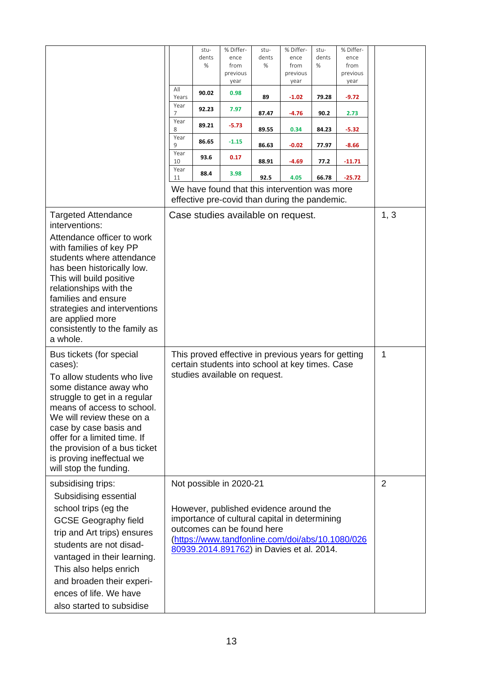|                                                                                                                                                                                                                                                                                                                                                |                                                                                                                                         | stu-<br>dents<br>% | % Differ-<br>ence<br>from<br>previous<br>year                                                                                                                                                 | stu-<br>dents<br>% | % Differ-<br>ence<br>from<br>previous<br>year | stu-<br>dents<br>% | % Differ-<br>ence<br>from<br>previous<br>year    |   |
|------------------------------------------------------------------------------------------------------------------------------------------------------------------------------------------------------------------------------------------------------------------------------------------------------------------------------------------------|-----------------------------------------------------------------------------------------------------------------------------------------|--------------------|-----------------------------------------------------------------------------------------------------------------------------------------------------------------------------------------------|--------------------|-----------------------------------------------|--------------------|--------------------------------------------------|---|
|                                                                                                                                                                                                                                                                                                                                                | All<br>Years                                                                                                                            | 90.02              | 0.98                                                                                                                                                                                          | 89                 | $-1.02$                                       | 79.28              | $-9.72$                                          |   |
|                                                                                                                                                                                                                                                                                                                                                | Year<br>7                                                                                                                               | 92.23              | 7.97                                                                                                                                                                                          | 87.47              | $-4.76$                                       | 90.2               | 2.73                                             |   |
|                                                                                                                                                                                                                                                                                                                                                | Year<br>8                                                                                                                               | 89.21              | $-5.73$                                                                                                                                                                                       | 89.55              | 0.34                                          | 84.23              | $-5.32$                                          |   |
|                                                                                                                                                                                                                                                                                                                                                | Year<br>9                                                                                                                               | 86.65              | $-1.15$                                                                                                                                                                                       | 86.63              | $-0.02$                                       | 77.97              | $-8.66$                                          |   |
|                                                                                                                                                                                                                                                                                                                                                | Year<br>10                                                                                                                              | 93.6               | 0.17                                                                                                                                                                                          | 88.91              | $-4.69$                                       | 77.2               | $-11.71$                                         |   |
|                                                                                                                                                                                                                                                                                                                                                | Year<br>11                                                                                                                              | 88.4               | 3.98                                                                                                                                                                                          | 92.5               | 4.05                                          | 66.78              | $-25.72$                                         |   |
|                                                                                                                                                                                                                                                                                                                                                |                                                                                                                                         |                    | We have found that this intervention was more<br>effective pre-covid than during the pandemic.                                                                                                |                    |                                               |                    |                                                  |   |
| <b>Targeted Attendance</b><br>interventions:<br>Attendance officer to work<br>with families of key PP<br>students where attendance<br>has been historically low.<br>This will build positive<br>relationships with the<br>families and ensure<br>strategies and interventions<br>are applied more<br>consistently to the family as<br>a whole. | Case studies available on request.                                                                                                      |                    |                                                                                                                                                                                               |                    |                                               |                    | 1, 3                                             |   |
| Bus tickets (for special<br>cases):<br>To allow students who live<br>some distance away who<br>struggle to get in a regular<br>means of access to school.<br>We will review these on a<br>case by case basis and<br>offer for a limited time. If<br>the provision of a bus ticket<br>is proving ineffectual we<br>will stop the funding.       | This proved effective in previous years for getting<br>certain students into school at key times. Case<br>studies available on request. |                    |                                                                                                                                                                                               |                    |                                               |                    | 1                                                |   |
| subsidising trips:<br>Subsidising essential<br>school trips (eg the<br><b>GCSE Geography field</b><br>trip and Art trips) ensures<br>students are not disad-<br>vantaged in their learning.<br>This also helps enrich<br>and broaden their experi-<br>ences of life. We have<br>also started to subsidise                                      |                                                                                                                                         |                    | Not possible in 2020-21<br>However, published evidence around the<br>importance of cultural capital in determining<br>outcomes can be found here<br>80939.2014.891762) in Davies et al. 2014. |                    |                                               |                    | (https://www.tandfonline.com/doi/abs/10.1080/026 | 2 |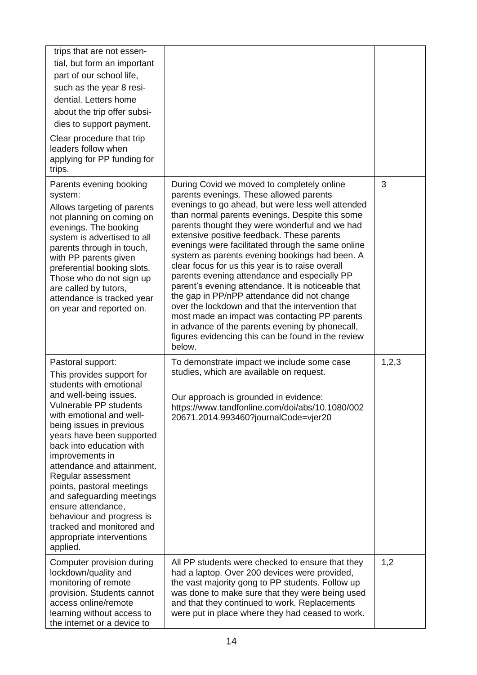| trips that are not essen-<br>tial, but form an important<br>part of our school life,<br>such as the year 8 resi-<br>dential. Letters home<br>about the trip offer subsi-<br>dies to support payment.<br>Clear procedure that trip<br>leaders follow when<br>applying for PP funding for<br>trips.                                                                                                                                                                                                        |                                                                                                                                                                                                                                                                                                                                                                                                                                                                                                                                                                                                                                                                                                                                                                                                                                       |         |
|----------------------------------------------------------------------------------------------------------------------------------------------------------------------------------------------------------------------------------------------------------------------------------------------------------------------------------------------------------------------------------------------------------------------------------------------------------------------------------------------------------|---------------------------------------------------------------------------------------------------------------------------------------------------------------------------------------------------------------------------------------------------------------------------------------------------------------------------------------------------------------------------------------------------------------------------------------------------------------------------------------------------------------------------------------------------------------------------------------------------------------------------------------------------------------------------------------------------------------------------------------------------------------------------------------------------------------------------------------|---------|
| Parents evening booking<br>system:<br>Allows targeting of parents<br>not planning on coming on<br>evenings. The booking<br>system is advertised to all<br>parents through in touch,<br>with PP parents given<br>preferential booking slots.<br>Those who do not sign up<br>are called by tutors,<br>attendance is tracked year<br>on year and reported on.                                                                                                                                               | During Covid we moved to completely online<br>parents evenings. These allowed parents<br>evenings to go ahead, but were less well attended<br>than normal parents evenings. Despite this some<br>parents thought they were wonderful and we had<br>extensive positive feedback. These parents<br>evenings were facilitated through the same online<br>system as parents evening bookings had been. A<br>clear focus for us this year is to raise overall<br>parents evening attendance and especially PP<br>parent's evening attendance. It is noticeable that<br>the gap in PP/nPP attendance did not change<br>over the lockdown and that the intervention that<br>most made an impact was contacting PP parents<br>in advance of the parents evening by phonecall,<br>figures evidencing this can be found in the review<br>below. | 3       |
| Pastoral support:<br>This provides support for<br>students with emotional<br>and well-being issues.<br>Vulnerable PP students<br>with emotional and well-<br>being issues in previous<br>years have been supported<br>back into education with<br>improvements in<br>attendance and attainment.<br>Regular assessment<br>points, pastoral meetings<br>and safeguarding meetings<br>ensure attendance,<br>behaviour and progress is<br>tracked and monitored and<br>appropriate interventions<br>applied. | To demonstrate impact we include some case<br>studies, which are available on request.<br>Our approach is grounded in evidence:<br>https://www.tandfonline.com/doi/abs/10.1080/002<br>20671.2014.993460?journalCode=vjer20                                                                                                                                                                                                                                                                                                                                                                                                                                                                                                                                                                                                            | 1, 2, 3 |
| Computer provision during<br>lockdown/quality and<br>monitoring of remote<br>provision. Students cannot<br>access online/remote<br>learning without access to<br>the internet or a device to                                                                                                                                                                                                                                                                                                             | All PP students were checked to ensure that they<br>had a laptop. Over 200 devices were provided,<br>the vast majority gong to PP students. Follow up<br>was done to make sure that they were being used<br>and that they continued to work. Replacements<br>were put in place where they had ceased to work.                                                                                                                                                                                                                                                                                                                                                                                                                                                                                                                         | 1,2     |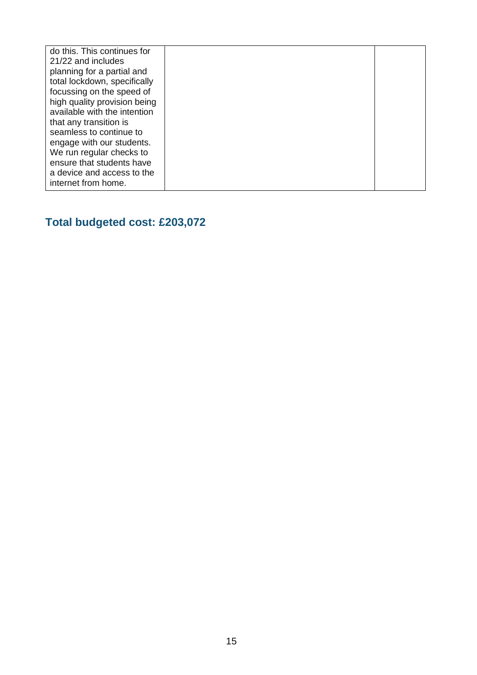| do this. This continues for<br>21/22 and includes     |
|-------------------------------------------------------|
| planning for a partial and                            |
| total lockdown, specifically                          |
| focussing on the speed of                             |
| high quality provision being                          |
| available with the intention                          |
| that any transition is                                |
| seamless to continue to                               |
| engage with our students.<br>We run regular checks to |
| ensure that students have                             |
| a device and access to the                            |
| internet from home.                                   |

## **Total budgeted cost: £203,072**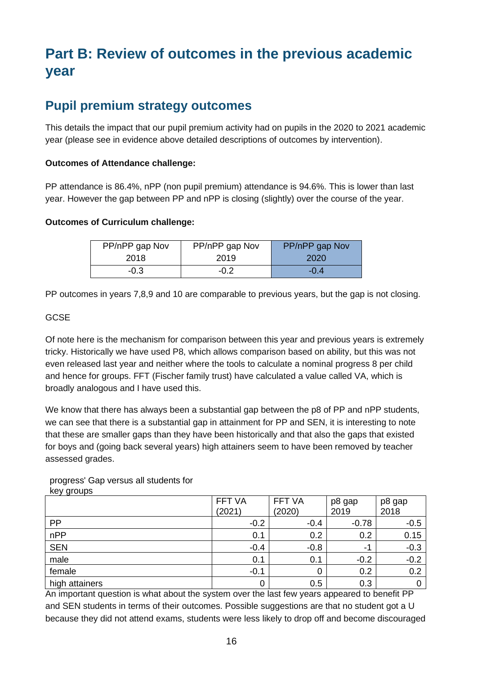# **Part B: Review of outcomes in the previous academic year**

### **Pupil premium strategy outcomes**

This details the impact that our pupil premium activity had on pupils in the 2020 to 2021 academic year (please see in evidence above detailed descriptions of outcomes by intervention).

#### **Outcomes of Attendance challenge:**

PP attendance is 86.4%, nPP (non pupil premium) attendance is 94.6%. This is lower than last year. However the gap between PP and nPP is closing (slightly) over the course of the year.

#### **Outcomes of Curriculum challenge:**

| PP/nPP gap Nov | PP/nPP gap Nov | PP/nPP gap Nov |
|----------------|----------------|----------------|
| 2018           | 2019           | 2020           |
| $-0.3$         | $-0.2$         | $-0.4$         |

PP outcomes in years 7,8,9 and 10 are comparable to previous years, but the gap is not closing.

#### GCSE

Of note here is the mechanism for comparison between this year and previous years is extremely tricky. Historically we have used P8, which allows comparison based on ability, but this was not even released last year and neither where the tools to calculate a nominal progress 8 per child and hence for groups. FFT (Fischer family trust) have calculated a value called VA, which is broadly analogous and I have used this.

We know that there has always been a substantial gap between the p8 of PP and nPP students, we can see that there is a substantial gap in attainment for PP and SEN, it is interesting to note that these are smaller gaps than they have been historically and that also the gaps that existed for boys and (going back several years) high attainers seem to have been removed by teacher assessed grades.

| . . - <i>. .</i> |        |        |         |        |
|------------------|--------|--------|---------|--------|
|                  | FFT VA | FFT VA | p8 gap  | p8 gap |
|                  | (2021) | (2020) | 2019    | 2018   |
| PP               | $-0.2$ | $-0.4$ | $-0.78$ | $-0.5$ |
| nPP              | 0.1    | 0.2    | 0.2     | 0.15   |
| <b>SEN</b>       | $-0.4$ | $-0.8$ | ÷.      | $-0.3$ |
| male             | 0.1    | 0.1    | $-0.2$  | $-0.2$ |
| female           | $-0.1$ | 0      | 0.2     | 0.2    |
| high attainers   | 0      | 0.5    | 0.3     | 0      |

progress' Gap versus all students for key groups

An important question is what about the system over the last few years appeared to benefit PP and SEN students in terms of their outcomes. Possible suggestions are that no student got a U because they did not attend exams, students were less likely to drop off and become discouraged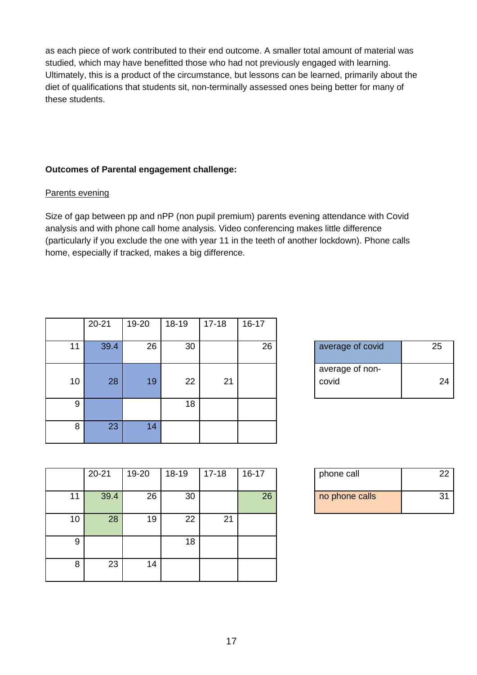as each piece of work contributed to their end outcome. A smaller total amount of material was studied, which may have benefitted those who had not previously engaged with learning. Ultimately, this is a product of the circumstance, but lessons can be learned, primarily about the diet of qualifications that students sit, non-terminally assessed ones being better for many of these students.

#### **Outcomes of Parental engagement challenge:**

#### Parents evening

Size of gap between pp and nPP (non pupil premium) parents evening attendance with Covid analysis and with phone call home analysis. Video conferencing makes little difference (particularly if you exclude the one with year 11 in the teeth of another lockdown). Phone calls home, especially if tracked, makes a big difference.

|    | $20 - 21$ | 19-20 | 18-19 | $17 - 18$ | $16 - 17$ |                          |    |
|----|-----------|-------|-------|-----------|-----------|--------------------------|----|
| 11 | 39.4      | 26    | 30    |           | 26        | average of covid         | 25 |
| 10 | 28        | 19    | 22    | 21        |           | average of non-<br>covid |    |
| 9  |           |       | 18    |           |           |                          |    |
| 8  | 23        | 14    |       |           |           |                          |    |

| average of covid | 25 |
|------------------|----|
| average of non-  |    |
| covid            | 24 |

|    | $20 - 21$ | 19-20 | $18-19$ | $17 - 18$ | $16 - 17$ | phone call     | 22 |
|----|-----------|-------|---------|-----------|-----------|----------------|----|
| 11 | 39.4      | 26    | 30      |           | 26        | no phone calls | 31 |
|    |           |       |         |           |           |                |    |
| 10 | 28        | 19    | 22      | 21        |           |                |    |
|    |           |       |         |           |           |                |    |
| 9  |           |       | 18      |           |           |                |    |
|    |           |       |         |           |           |                |    |
| 8  | 23        | 14    |         |           |           |                |    |
|    |           |       |         |           |           |                |    |

| phone call     | 22 |
|----------------|----|
| no phone calls | 31 |